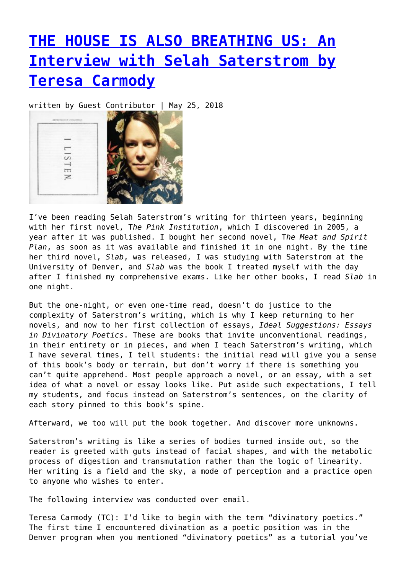## **[THE HOUSE IS ALSO BREATHING US: An](https://entropymag.org/the-house-is-also-breathing-us-an-interview-with-selah-saterstrom-by-teresa-carmody/) [Interview with Selah Saterstrom by](https://entropymag.org/the-house-is-also-breathing-us-an-interview-with-selah-saterstrom-by-teresa-carmody/) [Teresa Carmody](https://entropymag.org/the-house-is-also-breathing-us-an-interview-with-selah-saterstrom-by-teresa-carmody/)**

written by Guest Contributor | May 25, 2018



I've been reading Selah Saterstrom's writing for thirteen years, beginning with her first novel, T*he Pink Institution*, which I discovered in 2005, a year after it was published. I bought her second novel, T*he Meat and Spirit Plan*, as soon as it was available and finished it in one night. By the time her third novel, *Slab*, was released, I was studying with Saterstrom at the University of Denver, and *Slab* was the book I treated myself with the day after I finished my comprehensive exams. Like her other books, I read *Slab* in one night.

But the one-night, or even one-time read, doesn't do justice to the complexity of Saterstrom's writing, which is why I keep returning to her novels, and now to her first collection of essays, *Ideal Suggestions: Essays in Divinatory Poetics*. These are books that invite unconventional readings, in their entirety or in pieces, and when I teach Saterstrom's writing, which I have several times, I tell students: the initial read will give you a sense of this book's body or terrain, but don't worry if there is something you can't quite apprehend. Most people approach a novel, or an essay, with a set idea of what a novel or essay looks like. Put aside such expectations, I tell my students, and focus instead on Saterstrom's sentences, on the clarity of each story pinned to this book's spine.

Afterward, we too will put the book together. And discover more unknowns.

Saterstrom's writing is like a series of bodies turned inside out, so the reader is greeted with guts instead of facial shapes, and with the metabolic process of digestion and transmutation rather than the logic of linearity. Her writing is a field and the sky, a mode of perception and a practice open to anyone who wishes to enter.

The following interview was conducted over email.

Teresa Carmody (TC): I'd like to begin with the term "divinatory poetics." The first time I encountered divination as a poetic position was in the Denver program when you mentioned "divinatory poetics" as a tutorial you've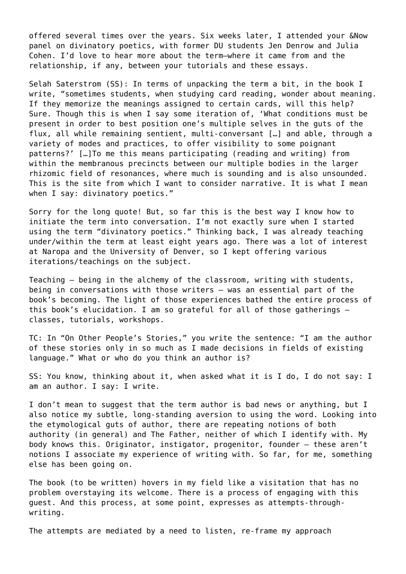offered several times over the years. Six weeks later, I attended your &Now panel on divinatory poetics, with former DU students Jen Denrow and Julia Cohen. I'd love to hear more about the term–where it came from and the relationship, if any, between your tutorials and these essays.

Selah Saterstrom (SS): In terms of unpacking the term a bit, in the book I write, "sometimes students, when studying card reading, wonder about meaning. If they memorize the meanings assigned to certain cards, will this help? Sure. Though this is when I say some iteration of, 'What conditions must be present in order to best position one's multiple selves in the guts of the flux, all while remaining sentient, multi-conversant […] and able, through a variety of modes and practices, to offer visibility to some poignant patterns?' […]To me this means participating (reading and writing) from within the membranous precincts between our multiple bodies in the larger rhizomic field of resonances, where much is sounding and is also unsounded. This is the site from which I want to consider narrative. It is what I mean when I say: divinatory poetics."

Sorry for the long quote! But, so far this is the best way I know how to initiate the term into conversation. I'm not exactly sure when I started using the term "divinatory poetics." Thinking back, I was already teaching under/within the term at least eight years ago. There was a lot of interest at Naropa and the University of Denver, so I kept offering various iterations/teachings on the subject.

Teaching – being in the alchemy of the classroom, writing with students, being in conversations with those writers – was an essential part of the book's becoming. The light of those experiences bathed the entire process of this book's elucidation. I am so grateful for all of those gatherings – classes, tutorials, workshops.

TC: In "On Other People's Stories," you write the sentence: "I am the author of these stories only in so much as I made decisions in fields of existing language." What or who do you think an author is?

SS: You know, thinking about it, when asked what it is I do, I do not say: I am an author. I say: I write.

I don't mean to suggest that the term author is bad news or anything, but I also notice my subtle, long-standing aversion to using the word. Looking into the etymological guts of author, there are repeating notions of both authority (in general) and The Father, neither of which I identify with. My body knows this. Originator, instigator, progenitor, founder – these aren't notions I associate my experience of writing with. So far, for me, something else has been going on.

The book (to be written) hovers in my field like a visitation that has no problem overstaying its welcome. There is a process of engaging with this guest. And this process, at some point, expresses as attempts-throughwriting.

The attempts are mediated by a need to listen, re-frame my approach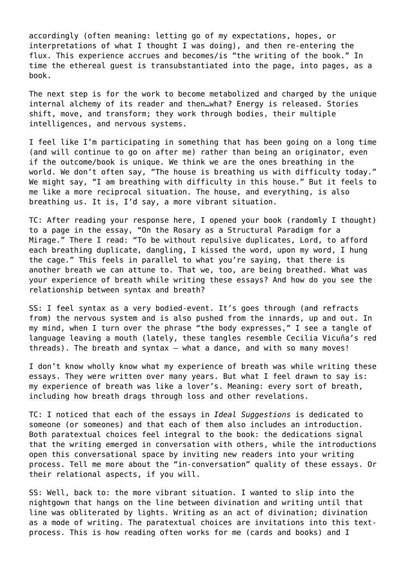accordingly (often meaning: letting go of my expectations, hopes, or interpretations of what I thought I was doing), and then re-entering the flux. This experience accrues and becomes/is "the writing of the book." In time the ethereal guest is transubstantiated into the page, into pages, as a book.

The next step is for the work to become metabolized and charged by the unique internal alchemy of its reader and then…what? Energy is released. Stories shift, move, and transform; they work through bodies, their multiple intelligences, and nervous systems.

I feel like I'm participating in something that has been going on a long time (and will continue to go on after me) rather than being an originator, even if the outcome/book is unique. We think we are the ones breathing in the world. We don't often say, "The house is breathing us with difficulty today." We might say, "I am breathing with difficulty in this house." But it feels to me like a more reciprocal situation. The house, and everything, is also breathing us. It is, I'd say, a more vibrant situation.

TC: After reading your response here, I opened your book (randomly I thought) to a page in the essay, "On the Rosary as a Structural Paradigm for a Mirage." There I read: "To be without repulsive duplicates, Lord, to afford each breathing duplicate, dangling, I kissed the word, upon my word, I hung the cage." This feels in parallel to what you're saying, that there is another breath we can attune to. That we, too, are being breathed. What was your experience of breath while writing these essays? And how do you see the relationship between syntax and breath?

SS: I feel syntax as a very bodied-event. It's goes through (and refracts from) the nervous system and is also pushed from the innards, up and out. In my mind, when I turn over the phrase "the body expresses," I see a tangle of language leaving a mouth (lately, these tangles resemble Cecilia Vicuña's red threads). The breath and syntax – what a dance, and with so many moves!

I don't know wholly know what my experience of breath was while writing these essays. They were written over many years. But what I feel drawn to say is: my experience of breath was like a lover's. Meaning: every sort of breath, including how breath drags through loss and other revelations.

TC: I noticed that each of the essays in *Ideal Suggestions* is dedicated to someone (or someones) and that each of them also includes an introduction. Both paratextual choices feel integral to the book: the dedications signal that the writing emerged in conversation with others, while the introductions open this conversational space by inviting new readers into your writing process. Tell me more about the "in-conversation" quality of these essays. Or their relational aspects, if you will.

SS: Well, back to: the more vibrant situation. I wanted to slip into the nightgown that hangs on the line between divination and writing until that line was obliterated by lights. Writing as an act of divination; divination as a mode of writing. The paratextual choices are invitations into this textprocess. This is how reading often works for me (cards and books) and I